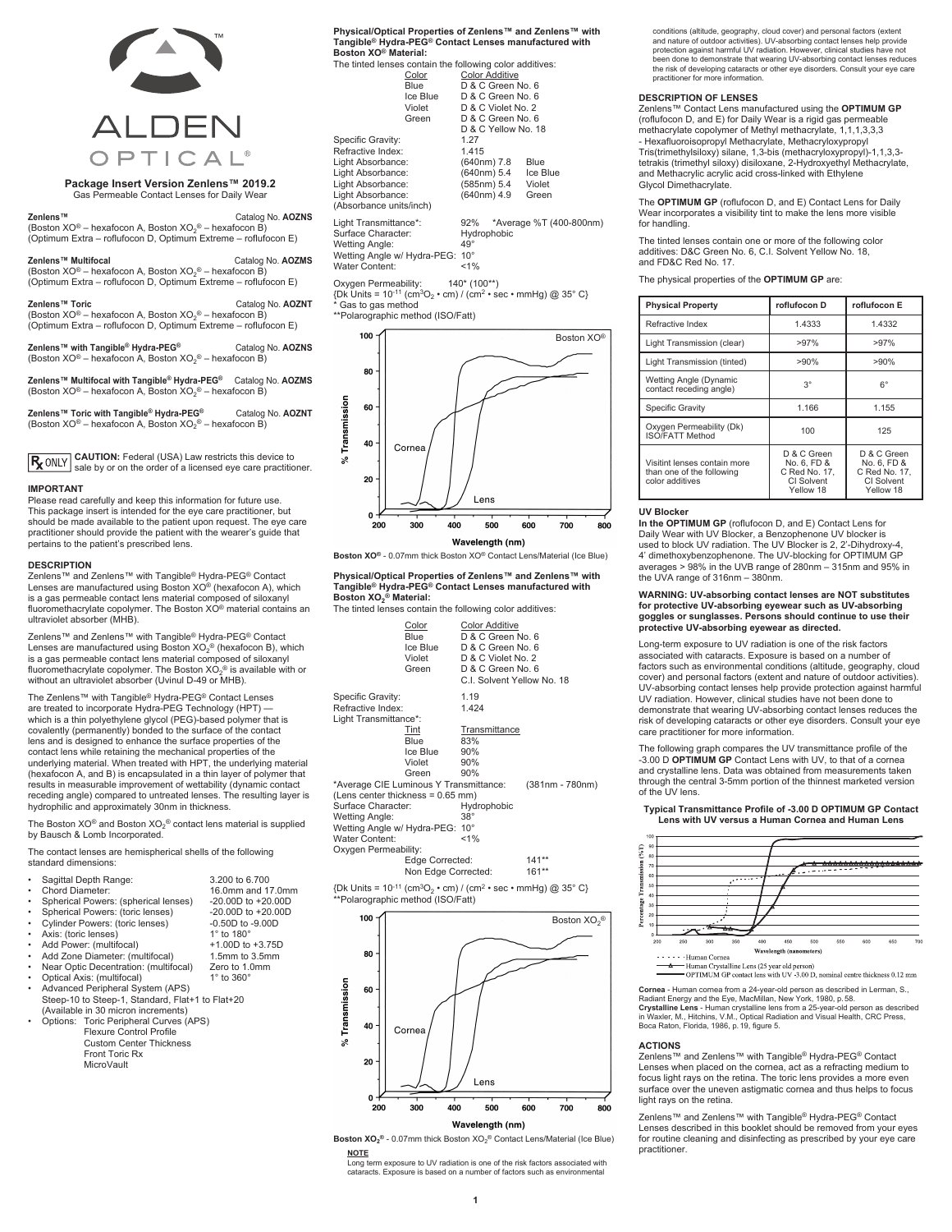

# **Package Insert Version Zenlens™ 2019.2** Gas Permeable Contact Lenses for Daily Wear

**Zenlens™** Catalog No. **AOZNS** (Boston XO® – hexafocon A, Boston XO2 ® – hexafocon B) (Optimum Extra – roflufocon D, Optimum Extreme – roflufocon E)

**Zenlens™ Multifocal** Catalog No. **AOZMS** (Boston XO® – hexafocon A, Boston XO2 ® – hexafocon B) (Optimum Extra – roflufocon D, Optimum Extreme – roflufocon E)

**Zenlens™ Toric**<br>(Boston XO® – hexafocon A, Boston XO<sub>2</sub>® – hexafocon B)<br>(Optimum Extra – roflufocon D, Optimum Extreme – roflufocon E)

**Zenlens™ with Tangible® Hydra-PEG®** Catalog No. **AOZNS**<br>(Boston XO® – hexafocon A, Boston XO<sub>2</sub>® – hexafocon B)

**Zenlens™ Multifocal with Tangible® Hydra-PEG®** Catalog No. **AOZMS**<br>(Boston XO® – hexafocon A, Boston XO<sub>2</sub>® – hexafocon B)

**Zenlens™ Toric with Tangible® Hydra-PEG®** Catalog No. **AOZNT**<br>(Boston XO® – hexafocon A, Boston XO<sub>2</sub>® – hexafocon B)

**CAUTION:** Federal (USA) Law restricts this device to R<sub>x</sub> ONLY sale by or on the order of a licensed eye care practitioner.

#### **IMPORTANT**

Please read carefully and keep this information for future use. This package insert is intended for the eye care practitioner, but should be made available to the patient upon request. The eye care practitioner should provide the patient with the wearer's guide that pertains to the patient's prescribed lens.

#### **DESCRIPTION**

Zenlens™ and Zenlens™ with Tangible® Hydra-PEG® Contact Lenses are manufactured using Boston XO® (hexafocon A), which is a gas permeable contact lens material composed of siloxanyl fluoromethacrylate copolymer. The Boston XO® material contains an ultraviolet absorber (MHB).

Zenlens™ and Zenlens™ with Tangible® Hydra-PEG® Contact Lenses are manufactured using Boston  $XO_2$ <sup>®</sup> (hexafocon B), which is a gas permeable contact lens material composed of siloxanyl fluoromethacrylate copolymer. The Boston XO2 ® is available with or without an ultraviolet absorber (Uvinul D-49 or MHB).

The Zenlens™ with Tangible® Hydra-PEG® Contact Lenses are treated to incorporate Hydra-PEG Technology (HPT) — which is a thin polyethylene glycol (PEG)-based polymer that is covalently (permanently) bonded to the surface of the contact lens and is designed to enhance the surface properties of the contact lens while retaining the mechanical properties of the underlying material. When treated with HPT, the underlying material (hexafocon A, and B) is encapsulated in a thin layer of polymer that results in measurable improvement of wettability (dynamic contact receding angle) compared to untreated lenses. The resulting layer is hydrophilic and approximately 30nm in thickness.

The Boston XO<sup>®</sup> and Boston XO<sub>2</sub><sup>®</sup> contact lens material is supplied by Bausch & Lomb Incorporated.

The contact lenses are hemispherical shells of the following standard dimensions:

| Sagittal Depth Range:<br>٠ |
|----------------------------|

- Sagittal Depth Range: 3.200 to 6.700 16.0mm and 17.0mm<br>-20.00D to +20.00D Spherical Powers: (spherical lenses) -20.00D to +20.00D<br>Spherical Powers: (toric lenses) -20.00D to +20.00D Spherical Powers: (toric lenses) 420.00D to +20.00<br>Cylinder Powers: (toric lenses) 40.50D to -9.00D
- external cylinder Powers: (toric lenses)  $-0.50D$  to -0.50D to -4xis: (toric lenses)  $1^{\circ}$  to  $180^{\circ}$
- Axis: (toric lenses) 1° to 180°<br>Add Power: (multifocal) 41.00D to +3.75D
- Add Power: (multifocal) +1.00D to +3.75D
- Add Zone Diameter: (multifocal) 1.5mm to 3.5mm
- **Propric Decentration: (multifocal)** Zero to 1.0 Dotical Axis: (multifocal) 1° to 360 Optical Axis: (multifocal)
- Advanced Peripheral System (APS)
- Steep-10 to Steep-1, Standard, Flat+1 to Flat+20 (Available in 30 micron increments)
	- Options: Toric Peripheral Curves (APS) Flexure Control Profile Custom Center Thickness
		- Front Toric Rx **MicroVault**

**Physical/Optical Properties of Zenlens™ and Zenlens™ with Tangible® Hydra-PEG® Contact Lenses manufactured with Boston XO® Material:**

| Boston XO® Material:                                     |          |              |                       |                         |
|----------------------------------------------------------|----------|--------------|-----------------------|-------------------------|
| The tinted lenses contain the following color additives: |          |              |                       |                         |
|                                                          | Color    |              | <b>Color Additive</b> |                         |
|                                                          | Blue     |              | D & C Green No. 6     |                         |
|                                                          | Ice Blue |              | D & C Green No. 6     |                         |
|                                                          | Violet   |              | D & C Violet No. 2    |                         |
|                                                          | Green    |              | D & C Green No. 6     |                         |
|                                                          |          |              | D & C Yellow No. 18   |                         |
| Specific Gravity:                                        |          | 1.27         |                       |                         |
| Refractive Index:                                        |          | 1.415        |                       |                         |
| Light Absorbance:                                        |          |              | (640nm) 7.8           | Blue                    |
| Light Absorbance:                                        |          |              | (640nm) 5.4           | Ice Blue                |
| Light Absorbance:                                        |          |              | (585nm) 5.4           | Violet                  |
| Light Absorbance:                                        |          |              | (640nm) 4.9           | Green                   |
| (Absorbance units/inch)                                  |          |              |                       |                         |
| Light Transmittance*:                                    |          | 92%          |                       | *Average %T (400-800nm) |
| Surface Character:                                       |          | Hydrophobic  |                       |                         |
| Wetting Angle:                                           |          | $49^{\circ}$ |                       |                         |
| Wetting Angle w/ Hydra-PEG: 10°                          |          |              |                       |                         |
| Water Content:                                           |          | 1%           |                       |                         |

Oxygen Permeability: 140\* (100\*\*) {Dk Units = 10-11 (cm3O2 • cm) / (cm2 • sec • mmHg) @ 35° C} Gas to gas method

\*\*Polarographic method (ISO/Fatt)



**Boston XO®** - 0.07mm thick Boston XO® Contact Lens/Material (Ice Blue)

**Physical/Optical Properties of Zenlens™ and Zenlens™ with Tangible® Hydra-PEG® Contact Lenses manufactured with Boston XO2 ® Material:**

 $\frac{1}{2}$  materials the following color additives:

|                                                                 | Color<br>Blue<br>Ice Blue<br>Violet<br>Green | <b>Color Additive</b><br>D & C Green No. 6<br>D & C Green No. 6<br>D & C Violet No. 2<br>D & C Green No. 6<br>C.I. Solvent Yellow No. 18 |                 |
|-----------------------------------------------------------------|----------------------------------------------|------------------------------------------------------------------------------------------------------------------------------------------|-----------------|
| Specific Gravity:<br>Refractive Index:<br>Light Transmittance*: |                                              | 1.19<br>1.424                                                                                                                            |                 |
|                                                                 | Tint                                         | Transmittance                                                                                                                            |                 |
|                                                                 | <b>Blue</b>                                  | 83%                                                                                                                                      |                 |
|                                                                 | Ice Blue                                     | 90%                                                                                                                                      |                 |
|                                                                 | Violet                                       | 90%                                                                                                                                      |                 |
|                                                                 | Green                                        | 90%                                                                                                                                      |                 |
| *Average CIE Luminous Y Transmittance:                          |                                              |                                                                                                                                          | (381nm - 780nm) |
| (Lens center thickness = 0.65 mm)                               |                                              |                                                                                                                                          |                 |
| Surface Character:                                              |                                              | Hydrophobic                                                                                                                              |                 |
| <b>Wetting Angle:</b>                                           |                                              | $38^\circ$                                                                                                                               |                 |
| Wetting Angle w/ Hydra-PEG: 10°                                 |                                              |                                                                                                                                          |                 |
| Water Content:                                                  |                                              | $< 1\%$                                                                                                                                  |                 |
| Oxygen Permeability:                                            |                                              |                                                                                                                                          |                 |
|                                                                 | Edge Corrected:                              |                                                                                                                                          | $141**$         |
|                                                                 | Non Edge Corrected:                          |                                                                                                                                          | $161**$         |
| $\sim$                                                          |                                              | $10.11 \times 20$ $11.2 \times 20$ $11.20$                                                                                               |                 |





**Boston XO2 ®** - 0.07mm thick Boston XO2 ® Contact Lens/Material (Ice Blue)

**NOTE** Long term exposure to UV radiation is one of the risk factors associated with cataracts. Exposure is based on a number of factors such as environmental

conditions (altitude, geography, cloud cover) and personal factors (extent<br>and nature of outdoor activities). UV-absorbing contact lenses help provide<br>protection against harmful UV radiation. However, clinical studies have been done to demonstrate that wearing UV-absorbing contact lenses reduces the risk of developing cataracts or other eye disorders. Consult your eye care practitioner for more information.

#### **DESCRIPTION OF LENSES**

Zenlens™ Contact Lens manufactured using the **OPTIMUM GP** (roflufocon D, and E) for Daily Wear is a rigid gas permeable methacrylate copolymer of Methyl methacrylate, 1,1,1,3,3,3 - Hexafluoroisopropyl Methacrylate, Methacryloxypropyl Tris(trimethylsiloxy) silane, 1,3-bis (methacryloxypropyl)-1,1,3,3 tetrakis (trimethyl siloxy) disiloxane, 2-Hydroxyethyl Methacrylate, and Methacrylic acrylic acid cross-linked with Ethylene Glycol Dimethacrylate.

The **OPTIMUM GP** (roflufocon D, and E) Contact Lens for Daily Wear incorporates a visibility tint to make the lens more visible for handling.

The tinted lenses contain one or more of the following color additives: D&C Green No. 6, C.I. Solvent Yellow No. 18, and FD&C Red No. 17.

The physical properties of the **OPTIMUM GP** are:

| <b>Physical Property</b>                                                     | roflufocon D                                                           | roflufocon E                                                           |
|------------------------------------------------------------------------------|------------------------------------------------------------------------|------------------------------------------------------------------------|
| Refractive Index                                                             | 1.4333                                                                 | 1.4332                                                                 |
| Light Transmission (clear)                                                   | >97%                                                                   | >97%                                                                   |
| Light Transmission (tinted)                                                  | >90%                                                                   | >90%                                                                   |
| Wetting Angle (Dynamic<br>contact receding angle)                            | $3^{\circ}$                                                            | $6^{\circ}$                                                            |
| Specific Gravity                                                             | 1.166                                                                  | 1.155                                                                  |
| Oxygen Permeability (Dk)<br>ISO/FATT Method                                  | 100                                                                    | 125                                                                    |
| Visitint lenses contain more<br>than one of the following<br>color additives | D & C Green<br>No. 6. FD &<br>C Red No. 17.<br>CI Solvent<br>Yellow 18 | D & C Green<br>No. 6, FD &<br>C Red No. 17.<br>CI Solvent<br>Yellow 18 |

#### **UV Blocker**

**In the OPTIMUM GP** (roflufocon D, and E) Contact Lens for Daily Wear with UV Blocker, a Benzophenone UV blocker is used to block UV radiation. The UV Blocker is 2, 2'-Dihydroxy-4, 4' dimethoxybenzophenone. The UV-blocking for OPTIMUM GP averages > 98% in the UVB range of 280nm – 315nm and 95% in the UVA range of 316nm – 380nm.

# **WARNING: UV-absorbing contact lenses are NOT substitutes for protective UV-absorbing eyewear such as UV-absorbing goggles or sunglasses. Persons should continue to use their protective UV-absorbing eyewear as directed.**

Long-term exposure to UV radiation is one of the risk factors associated with cataracts. Exposure is based on a number of factors such as environmental conditions (altitude, geography, cloud cover) and personal factors (extent and nature of outdoor activities). UV-absorbing contact lenses help provide protection against harmful UV radiation. However, clinical studies have not been done to demonstrate that wearing UV-absorbing contact lenses reduces the risk of developing cataracts or other eye disorders. Consult your eye care practitioner for more information.

The following graph compares the UV transmittance profile of the -3.00 D **OPTIMUM GP** Contact Lens with UV, to that of a cornea and crystalline lens. Data was obtained from measurements taken through the central 3-5mm portion of the thinnest marketed version of the UV lens.

#### **Typical Transmittance Profile of -3.00 D OPTIMUM GP Contact Lens with UV versus a Human Cornea and Human Lens**



**Cornea** - Human cornea from a 24-year-old person as described in Lerman, S.,

Radiant Energy and the Eye, MacMillan, New York, 1980, p.58. **Crystalline Lens** - Human crystalline lens from a 25-year-old person as described in Waxler, M., Hitchins, V.M., Optical Radiation and Visual Health, CRC Press, Boca Raton, Florida, 1986, p.19, figure 5.

#### **ACTIONS**

Zenlens™ and Zenlens™ with Tangible® Hydra-PEG® Contact Lenses when placed on the cornea, act as a refracting medium to focus light rays on the retina. The toric lens provides a more even surface over the uneven astigmatic cornea and thus helps to focus light rays on the retina.

Zenlens™ and Zenlens™ with Tangible® Hydra-PEG® Contact Lenses described in this booklet should be removed from your eyes for routine cleaning and disinfecting as prescribed by your eye care practitioner.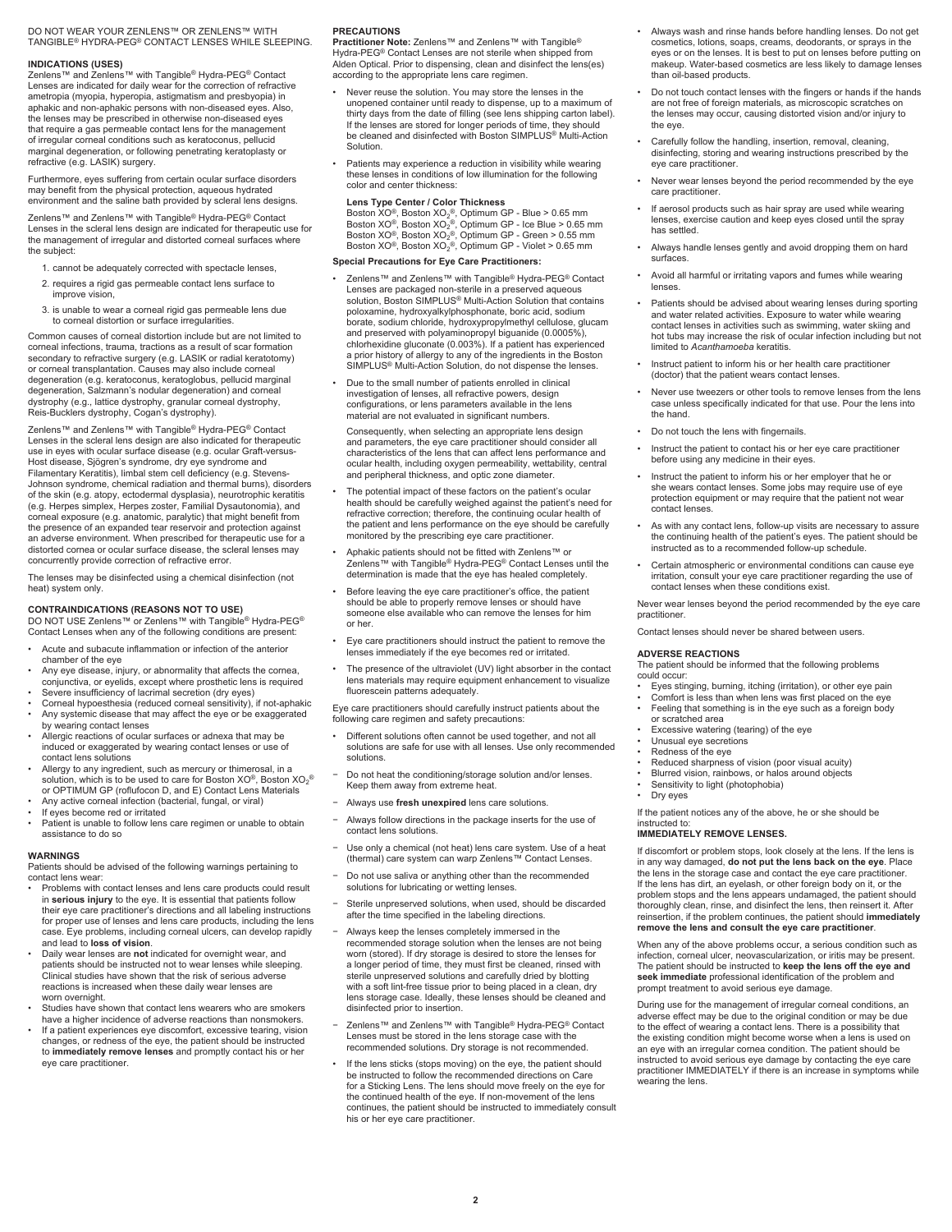#### DO NOT WEAR YOUR ZENLENS™ OR ZENLENS™ WITH TANGIBLE® HYDRA-PEG® CONTACT LENSES WHILE SLEEPING.

**INDICATIONS (USES)** Zenlens™ and Zenlens™ with Tangible® Hydra-PEG® Contact Lenses are indicated for daily wear for the correction of refractive ametropia (myopia, hyperopia, astigmatism and presbyopia) in aphakic and non-aphakic persons with non-diseased eyes. Also, the lenses may be prescribed in otherwise non-diseased eyes that require a gas permeable contact lens for the management of irregular corneal conditions such as keratoconus, pellucid marginal degeneration, or following penetrating keratoplasty or refractive (e.g. LASIK) surgery.

Furthermore, eyes suffering from certain ocular surface disorders may benefit from the physical protection, aqueous hydrated environment and the saline bath provided by scleral lens designs.

Zenlens™ and Zenlens™ with Tangible® Hydra-PEG® Contact Lenses in the scleral lens design are indicated for therapeutic use for the management of irregular and distorted corneal surfaces where the subject:

- 1. cannot be adequately corrected with spectacle lenses,
- 2. requires a rigid gas permeable contact lens surface to improve vision,
- 3. is unable to wear a corneal rigid gas permeable lens due to corneal distortion or surface irregularities.

Common causes of corneal distortion include but are not limited to corneal infections, trauma, tractions as a result of scar formation secondary to refractive surgery (e.g. LASIK or radial keratotomy) or corneal transplantation. Causes may also include corneal degeneration (e.g. keratoconus, keratoglobus, pellucid marginal degeneration, Salzmann's nodular degeneration) and corneal dystrophy (e.g., lattice dystrophy, granular corneal dystrophy, Reis-Bucklers dystrophy, Cogan's dystrophy).

Zenlens™ and Zenlens™ with Tangible® Hydra-PEG® Contact<br>Lenses in the scleral lens design are also indicated for therapeutic use in eyes with ocular surface disease (e.g. ocular Graft-versus-Host disease, Sjögren's syndrome, dry eye syndrome and Filamentary Keratitis), limbal stem cell deficiency (e.g. Stevens-Johnson syndrome, chemical radiation and thermal burns), disorders of the skin (e.g. atopy, ectodermal dysplasia), neurotrophic keratitis (e.g. Herpes simplex, Herpes zoster, Familial Dysautonomia), and corneal exposure (e.g. anatomic, paralytic) that might benefit from the presence of an expanded tear reservoir and protection against an adverse environment. When prescribed for therapeutic use for a distorted cornea or ocular surface disease, the scleral lenses may concurrently provide correction of refractive error.

The lenses may be disinfected using a chemical disinfection (not heat) system only.

**CONTRAINDICATIONS (REASONS NOT TO USE)** DO NOT USE Zenlens™ or Zenlens™ with Tangible® Hydra-PEG® Contact Lenses when any of the following conditions are present:

- Acute and subacute inflammation or infection of the anterior chamber of the eye
- Any eye disease, injury, or abnormality that affects the cornea, conjunctiva, or eyelids, except where prosthetic lens is required
- Severe insufficiency of lacrimal secretion (dry eyes)
- Corneal hypoesthesia (reduced corneal sensitivity), if not-aphakic Any systemic disease that may affect the eye or be exaggerated by wearing contact lenses
- Allergic reactions of ocular surfaces or adnexa that may be induced or exaggerated by wearing contact lenses or use of contact lens solutions
- Allergy to any ingredient, such as mercury or thimerosal, in a solution, which is to be used to care for Boston XO®, Boston XO<sub>2</sub>®<br>or OPTIMUM GP (roflufocon D, and E) Contact Lens Materials
- Any active corneal infection (bacterial, fungal, or viral)
- If eyes become red or irritated
- Patient is unable to follow lens care regimen or unable to obtain assistance to do so

#### **WARNINGS**

Patients should be advised of the following warnings pertaining to contact lens wear:

- Problems with contact lenses and lens care products could result in **serious injury** to the eye. It is essential that patients follow their eye care practitioner's directions and all labeling instructions for proper use of lenses and lens care products, including the lens case. Eye problems, including corneal ulcers, can develop rapidly and lead to **loss of vision**.
- Daily wear lenses are **not** indicated for overnight wear, and patients should be instructed not to wear lenses while sleeping. Clinical studies have shown that the risk of serious adverse reactions is increased when these daily wear lenses are worn overnight.
- Studies have shown that contact lens wearers who are smokers have a higher incidence of adverse reactions than nonsmokers.
- If a patient experiences eye discomfort, excessive tearing, vision changes, or redness of the eye, the patient should be instructed to **immediately remove lenses** and promptly contact his or her eye care practitioner.

#### **PRECAUTIONS**

**Practitioner Note:** Zenlens™ and Zenlens™ with Tangible® Hydra-PEG® Contact Lenses are not sterile when shipped from Alden Optical. Prior to dispensing, clean and disinfect the lens(es) according to the appropriate lens care regimen.

- Never reuse the solution. You may store the lenses in the unopened container until ready to dispense, up to a maximum of thirty days from the date of filling (see lens shipping carton label). If the lenses are stored for longer periods of time, they should be cleaned and disinfected with Boston SIMPLUS® Multi-Action Solution.
- Patients may experience a reduction in visibility while wearing these lenses in conditions of low illumination for the following color and center thickness:

#### **Lens Type Center / Color Thickness**

Boston XO®, Boston XO<sub>2</sub>®, Optimum GP - Blue > 0.65 mm<br>Boston XO®, Boston XO<sub>2</sub>®, Optimum GP - Ice Blue > 0.55 mm<br>Boston XO®, Boston XO<sub>2</sub>®, Optimum GP - Green > 0.55 mm<br>Boston XO®, Boston XO<sub>2</sub>®, Optimum GP - Violet > 0.

#### **Special Precautions for Eye Care Practitioners:**

• Zenlens™ and Zenlens™ with Tangible® Hydra-PEG® Contact Lenses are packaged non-sterile in a preserved aqueous solution, Boston SIMPLUS® Multi-Action Solution that contains poloxamine, hydroxyalkylphosphonate, boric acid, sodium borate, sodium chloride, hydroxypropylmethyl cellulose, glucam and preserved with polyaminopropyl biguanide (0.0005%), chlorhexidine gluconate (0.003%). If a patient has experienced a prior history of allergy to any of the ingredients in the Boston SIMPLUS® Multi-Action Solution, do not dispense the lenses.

• Due to the small number of patients enrolled in clinical investigation of lenses, all refractive powers, design configurations, or lens parameters available in the lens material are not evaluated in significant numbers.

Consequently, when selecting an appropriate lens design and parameters, the eye care practitioner should consider all characteristics of the lens that can affect lens performance and ocular health, including oxygen permeability, wettability, central and peripheral thickness, and optic zone diameter.

- The potential impact of these factors on the patient's ocular health should be carefully weighed against the patient's need for refractive correction; therefore, the continuing ocular health of the patient and lens performance on the eye should be carefully monitored by the prescribing eye care practitioner.
- Aphakic patients should not be fitted with Zenlens™ or Zenlens™ with Tangible® Hydra-PEG® Contact Lenses until the determination is made that the eye has healed completely.
- Before leaving the eye care practitioner's office, the patient should be able to properly remove lenses or should have someone else available who can remove the lenses for him or her.
- Eye care practitioners should instruct the patient to remove the lenses immediately if the eye becomes red or irritated.
- The presence of the ultraviolet (UV) light absorber in the contact lens materials may require equipment enhancement to visualize fluorescein patterns adequately.

Eye care practitioners should carefully instruct patients about the following care regimen and safety precautions:

- Different solutions often cannot be used together, and not all solutions are safe for use with all lenses. Use only recommended solutions.
- Do not heat the conditioning/storage solution and/or lenses. Keep them away from extreme heat.
- − Always use **fresh unexpired** lens care solutions.
- Always follow directions in the package inserts for the use of contact lens solutions.
- − Use only a chemical (not heat) lens care system. Use of a heat (thermal) care system can warp Zenlens™ Contact Lenses.
- − Do not use saliva or anything other than the recommended solutions for lubricating or wetting lens
- Sterile unpreserved solutions, when used, should be discarded after the time specified in the labeling directions.
- − Always keep the lenses completely immersed in the recommended storage solution when the lenses are not being worn (stored). If dry storage is desired to store the lenses for a longer period of time, they must first be cleaned, rinsed with sterile unpreserved solutions and carefully dried by blotting with a soft lint-free tissue prior to being placed in a clean, dry lens storage case. Ideally, these lenses should be cleaned and disinfected prior to insertion.
- − Zenlens™ and Zenlens™ with Tangible® Hydra-PEG® Contact Lenses must be stored in the lens storage case with the recommended solutions. Dry storage is not recommended.
- If the lens sticks (stops moving) on the eye, the patient should be instructed to follow the recommended directions on Care for a Sticking Lens. The lens should move freely on the eye for the continued health of the eye. If non-movement of the lens continues, the patient should be instructed to immediately consult his or her eye care practitioner.
- Always wash and rinse hands before handling lenses. Do not get cosmetics, lotions, soaps, creams, deodorants, or sprays in the eyes or on the lenses. It is best to put on lenses before putting on makeup. Water-based cosmetics are less likely to damage lenses than oil-based products.
- Do not touch contact lenses with the fingers or hands if the hands are not free of foreign materials, as microscopic scratches on the lenses may occur, causing distorted vision and/or injury to the eye.
- Carefully follow the handling, insertion, removal, cleaning, disinfecting, storing and wearing instructions prescribed by the eye care practitioner.
- Never wear lenses beyond the period recommended by the eye care practitioner.
- If aerosol products such as hair spray are used while wearing lenses, exercise caution and keep eyes closed until the spray has settled.
- Always handle lenses gently and avoid dropping them on hard surfaces.
- Avoid all harmful or irritating vapors and fumes while wearing lenses
- Patients should be advised about wearing lenses during sporting and water related activities. Exposure to water while wearing contact lenses in activities such as swimming, water skiing and hot tubs may increase the risk of ocular infection including but not limited to *Acanthamoeba* keratitis.
- Instruct patient to inform his or her health care practitioner (doctor) that the patient wears contact lenses.
- Never use tweezers or other tools to remove lenses from the lens case unless specifically indicated for that use. Pour the lens into the hand.
- Do not touch the lens with fingernails.
- Instruct the patient to contact his or her eye care practitioner before using any medicine in their eyes.
- Instruct the patient to inform his or her employer that he or she wears contact lenses. Some jobs may require use of eye protection equipment or may require that the patient not wear .<br>contact lenses
- As with any contact lens, follow-up visits are necessary to assure the continuing health of the patient's eyes. The patient should be instructed as to a recommended follow-up schedule.
- Certain atmospheric or environmental conditions can cause eye irritation, consult your eye care practitioner regarding the use of contact lenses when these conditions exist.

Never wear lenses beyond the period recommended by the eye care practitioner.

Contact lenses should never be shared between users.

#### **ADVERSE REACTIONS**

The patient should be informed that the following problems could occur:

- Eyes stinging, burning, itching (irritation), or other eye pain
- Comfort is less than when lens was first placed on the eye
- Feeling that something is in the eye such as a foreign body or scratched area
- Excessive watering (tearing) of the eye
- 
- Unusual eye secretions Redness of the eye
- Reduced sharpness of vision (poor visual acuity)
- Blurred vision, rainbows, or halos around objects
- Sensitivity to light (photophobia)
- Dry eyes

If the patient notices any of the above, he or she should be instructed to:

#### **IMMEDIATELY REMOVE LENSES.**

If discomfort or problem stops, look closely at the lens. If the lens is in any way damaged, **do not put the lens back on the eye**. Place the lens in the storage case and contact the eye care practitioner. If the lens has dirt, an eyelash, or other foreign body on it, or the problem stops and the lens appears undamaged, the patient should thoroughly clean, rinse, and disinfect the lens, then reinsert it. After reinsertion, if the problem continues, the patient should **immediately remove the lens and consult the eye care practitioner**.

When any of the above problems occur, a serious condition such as infection, corneal ulcer, neovascularization, or iritis may be present. The patient should be instructed to **keep the lens off the eye and seek immediate** professional identification of the problem and prompt treatment to avoid serious eye damage.

During use for the management of irregular corneal conditions, an adverse effect may be due to the original condition or may be due to the effect of wearing a contact lens. There is a possibility that the existing condition might become worse when a lens is used on an eye with an irregular cornea condition. The patient should be instructed to avoid serious eye damage by contacting the eye care practitioner IMMEDIATELY if there is an increase in symptoms while wearing the lens.